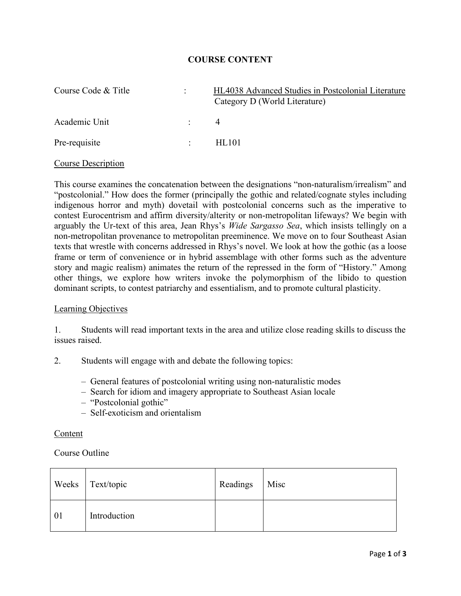## **COURSE CONTENT**

| Course Code & Title | $\ddot{\phantom{0}}$     | HL4038 Advanced Studies in Postcolonial Literature<br>Category D (World Literature) |
|---------------------|--------------------------|-------------------------------------------------------------------------------------|
| Academic Unit       | <b>Contract Contract</b> | $\overline{4}$                                                                      |
| Pre-requisite       | $\mathcal{L}$            | HL101                                                                               |

#### Course Description

This course examines the concatenation between the designations "non-naturalism/irrealism" and "postcolonial." How does the former (principally the gothic and related/cognate styles including indigenous horror and myth) dovetail with postcolonial concerns such as the imperative to contest Eurocentrism and affirm diversity/alterity or non-metropolitan lifeways? We begin with arguably the Ur-text of this area, Jean Rhys's *Wide Sargasso Sea*, which insists tellingly on a non-metropolitan provenance to metropolitan preeminence. We move on to four Southeast Asian texts that wrestle with concerns addressed in Rhys's novel. We look at how the gothic (as a loose frame or term of convenience or in hybrid assemblage with other forms such as the adventure story and magic realism) animates the return of the repressed in the form of "History." Among other things, we explore how writers invoke the polymorphism of the libido to question dominant scripts, to contest patriarchy and essentialism, and to promote cultural plasticity.

## Learning Objectives

1. Students will read important texts in the area and utilize close reading skills to discuss the issues raised.

- 2. Students will engage with and debate the following topics:
	- General features of postcolonial writing using non-naturalistic modes
	- Search for idiom and imagery appropriate to Southeast Asian locale
	- "Postcolonial gothic"
	- Self-exoticism and orientalism

#### Content

#### Course Outline

|            | Weeks Text/topic | Readings | Misc |
|------------|------------------|----------|------|
| $\vert 01$ | Introduction     |          |      |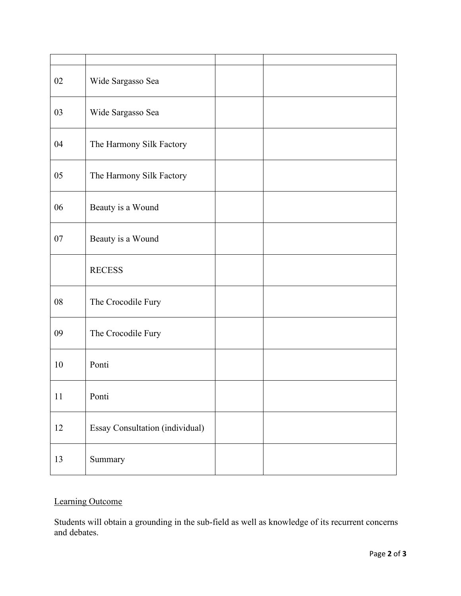| 02 | Wide Sargasso Sea               |  |
|----|---------------------------------|--|
| 03 | Wide Sargasso Sea               |  |
| 04 | The Harmony Silk Factory        |  |
| 05 | The Harmony Silk Factory        |  |
| 06 | Beauty is a Wound               |  |
| 07 | Beauty is a Wound               |  |
|    | <b>RECESS</b>                   |  |
| 08 | The Crocodile Fury              |  |
| 09 | The Crocodile Fury              |  |
| 10 | Ponti                           |  |
| 11 | Ponti                           |  |
| 12 | Essay Consultation (individual) |  |
| 13 | Summary                         |  |

# Learning Outcome

Students will obtain a grounding in the sub-field as well as knowledge of its recurrent concerns and debates.